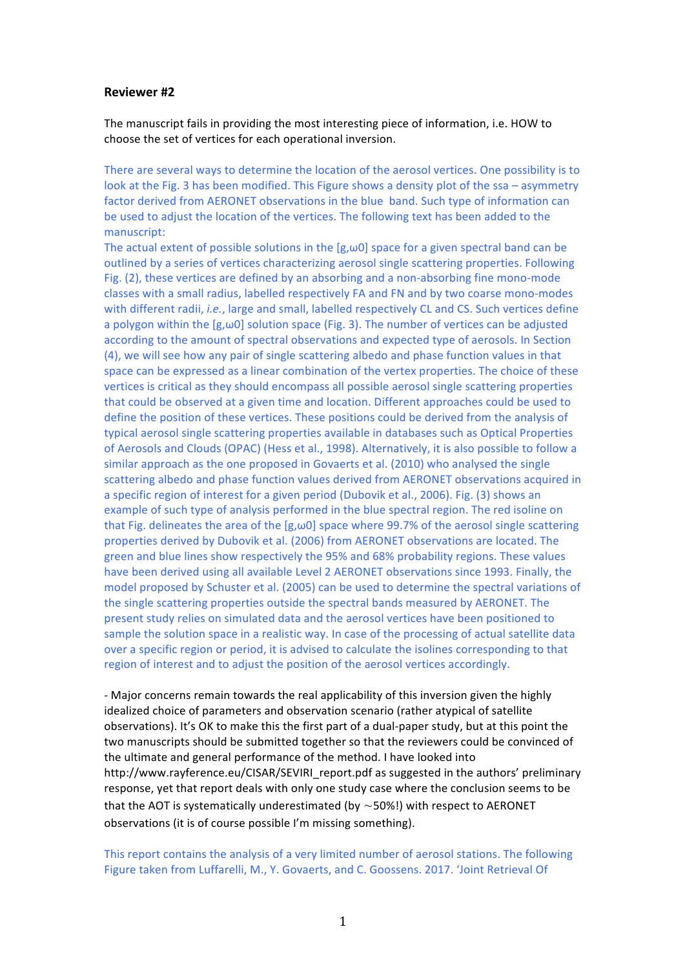## **Reviewer #2**

The manuscript fails in providing the most interesting piece of information, i.e. HOW to choose the set of vertices for each operational inversion.

There are several ways to determine the location of the aerosol vertices. One possibility is to look at the Fig. 3 has been modified. This Figure shows a density plot of the ssa – asymmetry factor derived from AERONET observations in the blue band. Such type of information can be used to adjust the location of the vertices. The following text has been added to the manuscript:

The actual extent of possible solutions in the  $[g,\omega 0]$  space for a given spectral band can be outlined by a series of vertices characterizing aerosol single scattering properties. Following Fig. (2), these vertices are defined by an absorbing and a non-absorbing fine mono-mode classes with a small radius, labelled respectively FA and FN and by two coarse mono-modes with different radii, *i.e.*, large and small, labelled respectively CL and CS. Such vertices define a polygon within the  $[g,\omega 0]$  solution space (Fig. 3). The number of vertices can be adjusted according to the amount of spectral observations and expected type of aerosols. In Section (4), we will see how any pair of single scattering albedo and phase function values in that space can be expressed as a linear combination of the vertex properties. The choice of these vertices is critical as they should encompass all possible aerosol single scattering properties that could be observed at a given time and location. Different approaches could be used to define the position of these vertices. These positions could be derived from the analysis of typical aerosol single scattering properties available in databases such as Optical Properties of Aerosols and Clouds (OPAC) (Hess et al., 1998). Alternatively, it is also possible to follow a similar approach as the one proposed in Govaerts et al. (2010) who analysed the single scattering albedo and phase function values derived from AERONET observations acquired in a specific region of interest for a given period (Dubovik et al., 2006). Fig. (3) shows an example of such type of analysis performed in the blue spectral region. The red isoline on that Fig. delineates the area of the  $[g,\omega 0]$  space where 99.7% of the aerosol single scattering properties derived by Dubovik et al. (2006) from AERONET observations are located. The green and blue lines show respectively the 95% and 68% probability regions. These values have been derived using all available Level 2 AERONET observations since 1993. Finally, the model proposed by Schuster et al. (2005) can be used to determine the spectral variations of the single scattering properties outside the spectral bands measured by AERONET. The present study relies on simulated data and the aerosol vertices have been positioned to sample the solution space in a realistic way. In case of the processing of actual satellite data over a specific region or period, it is advised to calculate the isolines corresponding to that region of interest and to adjust the position of the aerosol vertices accordingly.

- Major concerns remain towards the real applicability of this inversion given the highly idealized choice of parameters and observation scenario (rather atypical of satellite observations). It's OK to make this the first part of a dual-paper study, but at this point the two manuscripts should be submitted together so that the reviewers could be convinced of the ultimate and general performance of the method. I have looked into http://www.rayference.eu/CISAR/SEVIRI\_report.pdf as suggested in the authors' preliminary response, yet that report deals with only one study case where the conclusion seems to be that the AOT is systematically underestimated (by  $\sim$ 50%!) with respect to AERONET observations (it is of course possible I'm missing something).

This report contains the analysis of a very limited number of aerosol stations. The following Figure taken from Luffarelli, M., Y. Govaerts, and C. Goossens. 2017. 'Joint Retrieval Of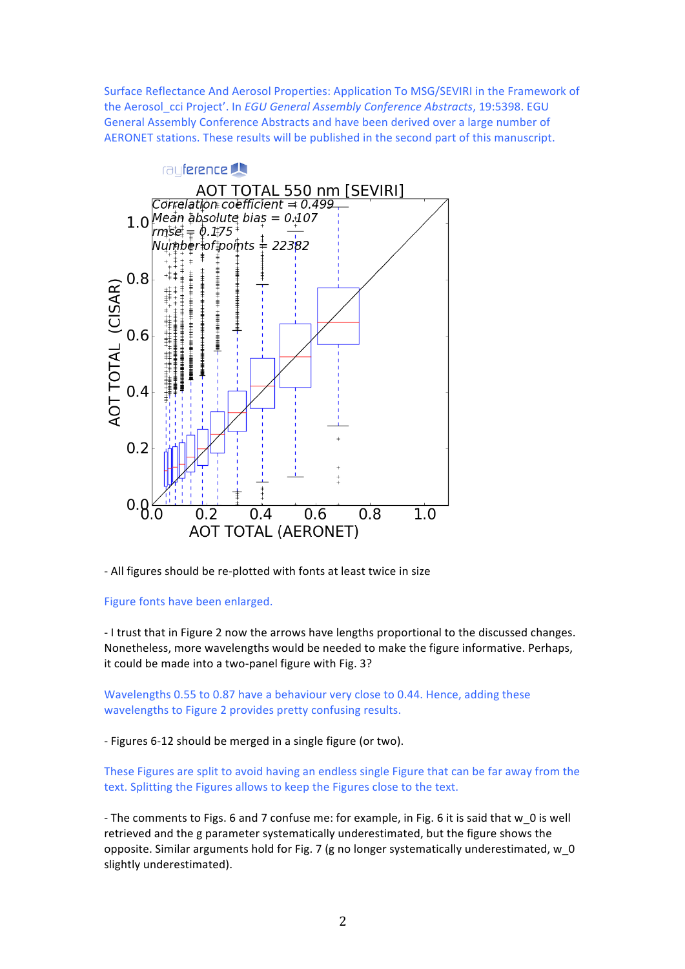Surface Reflectance And Aerosol Properties: Application To MSG/SEVIRI in the Framework of the Aerosol\_cci Project'. In *EGU General Assembly Conference Abstracts*, 19:5398. EGU General Assembly Conference Abstracts and have been derived over a large number of AERONET stations. These results will be published in the second part of this manuscript.



- All figures should be re-plotted with fonts at least twice in size

## Figure fonts have been enlarged.

- I trust that in Figure 2 now the arrows have lengths proportional to the discussed changes. Nonetheless, more wavelengths would be needed to make the figure informative. Perhaps, it could be made into a two-panel figure with Fig. 3?

Wavelengths 0.55 to 0.87 have a behaviour very close to 0.44. Hence, adding these wavelengths to Figure 2 provides pretty confusing results.

- Figures 6-12 should be merged in a single figure (or two).

These Figures are split to avoid having an endless single Figure that can be far away from the text. Splitting the Figures allows to keep the Figures close to the text.

- The comments to Figs. 6 and 7 confuse me: for example, in Fig. 6 it is said that w 0 is well retrieved and the g parameter systematically underestimated, but the figure shows the opposite. Similar arguments hold for Fig. 7 (g no longer systematically underestimated, w\_0 slightly underestimated).